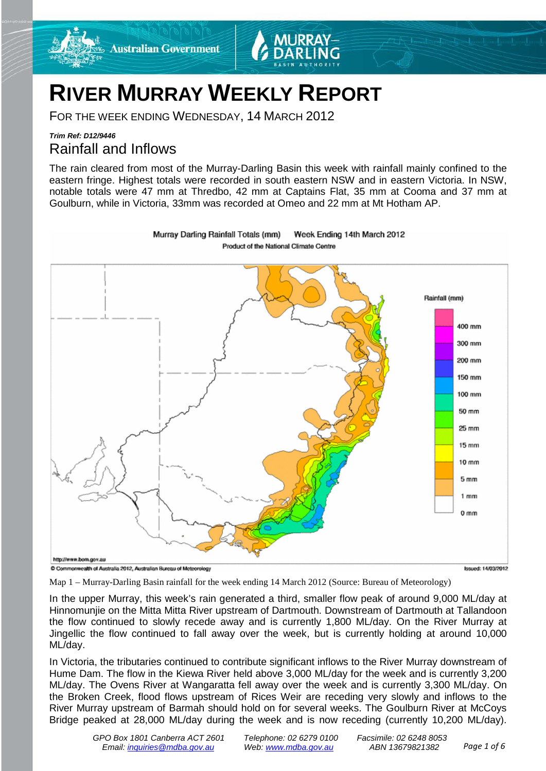

Murray Darling Rainfall Totals (mm)

FOR THE WEEK ENDING WEDNESDAY, 14 MARCH 2012

**Australian Government** 

# *Trim Ref: D12/9446* Rainfall and Inflows

The rain cleared from most of the Murray-Darling Basin this week with rainfall mainly confined to the eastern fringe. Highest totals were recorded in south eastern NSW and in eastern Victoria. In NSW, notable totals were 47 mm at Thredbo, 42 mm at Captains Flat, 35 mm at Cooma and 37 mm at Goulburn, while in Victoria, 33mm was recorded at Omeo and 22 mm at Mt Hotham AP.

Week Ending 14th March 2012



Map 1 – Murray-Darling Basin rainfall for the week ending 14 March 2012 (Source: Bureau of Meteorology)

In the upper Murray, this week's rain generated a third, smaller flow peak of around 9,000 ML/day at Hinnomunjie on the Mitta Mitta River upstream of Dartmouth. Downstream of Dartmouth at Tallandoon the flow continued to slowly recede away and is currently 1,800 ML/day. On the River Murray at Jingellic the flow continued to fall away over the week, but is currently holding at around 10,000 ML/day.

In Victoria, the tributaries continued to contribute significant inflows to the River Murray downstream of Hume Dam. The flow in the Kiewa River held above 3,000 ML/day for the week and is currently 3,200 ML/day. The Ovens River at Wangaratta fell away over the week and is currently 3,300 ML/day. On the Broken Creek, flood flows upstream of Rices Weir are receding very slowly and inflows to the River Murray upstream of Barmah should hold on for several weeks. The Goulburn River at McCoys Bridge peaked at 28,000 ML/day during the week and is now receding (currently 10,200 ML/day).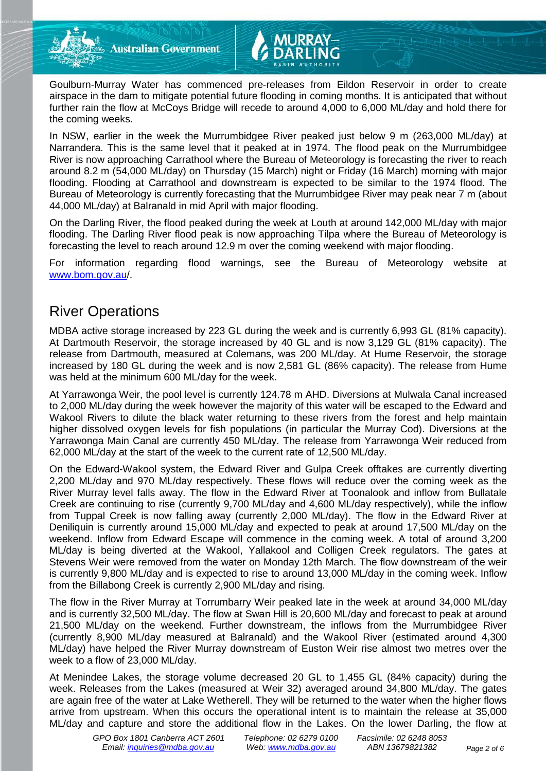**Australian Government** 

Goulburn-Murray Water has commenced pre-releases from Eildon Reservoir in order to create airspace in the dam to mitigate potential future flooding in coming months. It is anticipated that without further rain the flow at McCoys Bridge will recede to around 4,000 to 6,000 ML/day and hold there for the coming weeks.

In NSW, earlier in the week the Murrumbidgee River peaked just below 9 m (263,000 ML/day) at Narrandera. This is the same level that it peaked at in 1974. The flood peak on the Murrumbidgee River is now approaching Carrathool where the Bureau of Meteorology is forecasting the river to reach around 8.2 m (54,000 ML/day) on Thursday (15 March) night or Friday (16 March) morning with major flooding. Flooding at Carrathool and downstream is expected to be similar to the 1974 flood. The Bureau of Meteorology is currently forecasting that the Murrumbidgee River may peak near 7 m (about 44,000 ML/day) at Balranald in mid April with major flooding.

On the Darling River, the flood peaked during the week at Louth at around 142,000 ML/day with major flooding. The Darling River flood peak is now approaching Tilpa where the Bureau of Meteorology is forecasting the level to reach around 12.9 m over the coming weekend with major flooding.

For information regarding flood warnings, see the Bureau of Meteorology website at [www.bom.gov.au/](http://www.bom.gov.au/).

# River Operations

MDBA active storage increased by 223 GL during the week and is currently 6,993 GL (81% capacity). At Dartmouth Reservoir, the storage increased by 40 GL and is now 3,129 GL (81% capacity). The release from Dartmouth, measured at Colemans, was 200 ML/day. At Hume Reservoir, the storage increased by 180 GL during the week and is now 2,581 GL (86% capacity). The release from Hume was held at the minimum 600 ML/day for the week.

At Yarrawonga Weir, the pool level is currently 124.78 m AHD. Diversions at Mulwala Canal increased to 2,000 ML/day during the week however the majority of this water will be escaped to the Edward and Wakool Rivers to dilute the black water returning to these rivers from the forest and help maintain higher dissolved oxygen levels for fish populations (in particular the Murray Cod). Diversions at the Yarrawonga Main Canal are currently 450 ML/day. The release from Yarrawonga Weir reduced from 62,000 ML/day at the start of the week to the current rate of 12,500 ML/day.

On the Edward-Wakool system, the Edward River and Gulpa Creek offtakes are currently diverting 2,200 ML/day and 970 ML/day respectively. These flows will reduce over the coming week as the River Murray level falls away. The flow in the Edward River at Toonalook and inflow from Bullatale Creek are continuing to rise (currently 9,700 ML/day and 4,600 ML/day respectively), while the inflow from Tuppal Creek is now falling away (currently 2,000 ML/day). The flow in the Edward River at Deniliquin is currently around 15,000 ML/day and expected to peak at around 17,500 ML/day on the weekend. Inflow from Edward Escape will commence in the coming week. A total of around 3,200 ML/day is being diverted at the Wakool, Yallakool and Colligen Creek regulators. The gates at Stevens Weir were removed from the water on Monday 12th March. The flow downstream of the weir is currently 9,800 ML/day and is expected to rise to around 13,000 ML/day in the coming week. Inflow from the Billabong Creek is currently 2,900 ML/day and rising.

The flow in the River Murray at Torrumbarry Weir peaked late in the week at around 34,000 ML/day and is currently 32,500 ML/day. The flow at Swan Hill is 20,600 ML/day and forecast to peak at around 21,500 ML/day on the weekend. Further downstream, the inflows from the Murrumbidgee River (currently 8,900 ML/day measured at Balranald) and the Wakool River (estimated around 4,300 ML/day) have helped the River Murray downstream of Euston Weir rise almost two metres over the week to a flow of 23,000 ML/day.

At Menindee Lakes, the storage volume decreased 20 GL to 1,455 GL (84% capacity) during the week. Releases from the Lakes (measured at Weir 32) averaged around 34,800 ML/day. The gates are again free of the water at Lake Wetherell. They will be returned to the water when the higher flows arrive from upstream. When this occurs the operational intent is to maintain the release at 35,000 ML/day and capture and store the additional flow in the Lakes. On the lower Darling, the flow at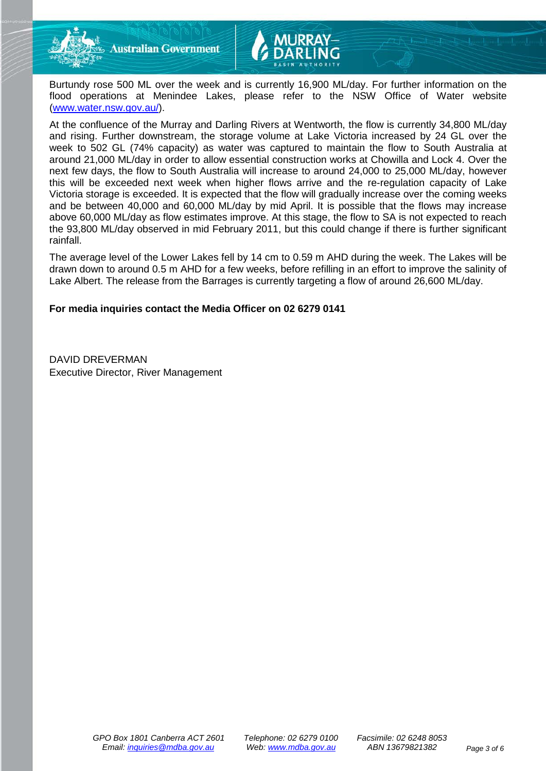

**Australian Government** 

Burtundy rose 500 ML over the week and is currently 16,900 ML/day. For further information on the flood operations at Menindee Lakes, please refer to the NSW Office of Water website [\(www.water.nsw.gov.au/\)](http://www.water.nsw.gov.au/).

At the confluence of the Murray and Darling Rivers at Wentworth, the flow is currently 34,800 ML/day and rising. Further downstream, the storage volume at Lake Victoria increased by 24 GL over the week to 502 GL (74% capacity) as water was captured to maintain the flow to South Australia at around 21,000 ML/day in order to allow essential construction works at Chowilla and Lock 4. Over the next few days, the flow to South Australia will increase to around 24,000 to 25,000 ML/day, however this will be exceeded next week when higher flows arrive and the re-regulation capacity of Lake Victoria storage is exceeded. It is expected that the flow will gradually increase over the coming weeks and be between 40,000 and 60,000 ML/day by mid April. It is possible that the flows may increase above 60,000 ML/day as flow estimates improve. At this stage, the flow to SA is not expected to reach the 93,800 ML/day observed in mid February 2011, but this could change if there is further significant rainfall.

The average level of the Lower Lakes fell by 14 cm to 0.59 m AHD during the week. The Lakes will be drawn down to around 0.5 m AHD for a few weeks, before refilling in an effort to improve the salinity of Lake Albert. The release from the Barrages is currently targeting a flow of around 26,600 ML/day.

### **For media inquiries contact the Media Officer on 02 6279 0141**

DAVID DREVERMAN Executive Director, River Management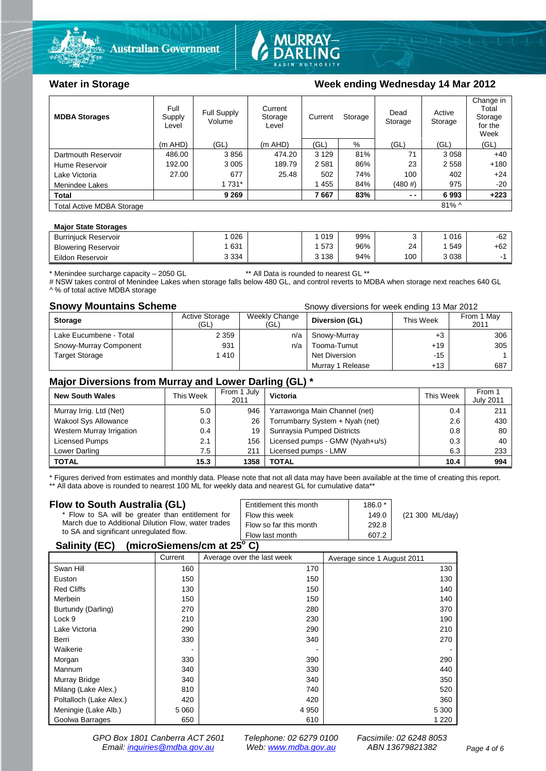



# Water in Storage **Week ending Wednesday 14 Mar 2012**

| <b>MDBA Storages</b>                         | Full<br>Supply<br>Level | Full Supply<br>Volume | Current<br>Storage<br>Level | Current | Storage | Dead<br>Storage | Active<br>Storage | Change in<br>Total<br>Storage<br>for the<br>Week |
|----------------------------------------------|-------------------------|-----------------------|-----------------------------|---------|---------|-----------------|-------------------|--------------------------------------------------|
|                                              | $(m$ AHD)               | (GL)                  | $(m$ AHD)                   | (GL)    | %       | (GL)            | (GL)              | (GL)                                             |
| Dartmouth Reservoir                          | 486.00                  | 3856                  | 474.20                      | 3 1 2 9 | 81%     | 71              | 3058              | $+40$                                            |
| Hume Reservoir                               | 192.00                  | 3 0 0 5               | 189.79                      | 2581    | 86%     | 23              | 2 5 5 8           | $+180$                                           |
| Lake Victoria                                | 27.00                   | 677                   | 25.48                       | 502     | 74%     | 100             | 402               | $+24$                                            |
| Menindee Lakes                               |                         | 1 731*                |                             | 1455    | 84%     | (480#)          | 975               | $-20$                                            |
| <b>Total</b>                                 |                         | 9 2 6 9               |                             | 7667    | 83%     | $ -$            | 6993              | $+223$                                           |
| $81\%$ ^<br><b>Total Active MDBA Storage</b> |                         |                       |                             |         |         |                 |                   |                                                  |

#### **Major State Storages**

| <b>Burriniuck Reservoir</b> | 026     | 019     | 99% |     | 016  | $-62$ |
|-----------------------------|---------|---------|-----|-----|------|-------|
| <b>Blowering Reservoir</b>  | 631     | 573     | 96% | 24  | 549  | +62   |
| Eildon Reservoir            | 3 3 3 4 | 3 1 3 8 | 94% | 100 | 3038 |       |

\* Menindee surcharge capacity – 2050 GL \*\* All Data is rounded to nearest GL \*\*

# NSW takes control of Menindee Lakes when storage falls below 480 GL, and control reverts to MDBA when storage next reaches 640 GL ^ % of total active MDBA storage

#### **Snowy Mountains Scheme Snowy diversions for week ending 13 Mar 2012**

| <b>Storage</b>         | <b>Active Storage</b><br>(GL) | Weekly Change<br>(GL) | Diversion (GL)   | This Week | From 1 May<br>2011 |
|------------------------|-------------------------------|-----------------------|------------------|-----------|--------------------|
| Lake Eucumbene - Total | 2 3 5 9                       | n/a                   | Snowy-Murray     | $+3$      | 306                |
| Snowy-Murray Component | 931                           | n/a                   | Tooma-Tumut      | $+19$     | 305                |
| <b>Target Storage</b>  | 1410                          |                       | Net Diversion    | $-15$     |                    |
|                        |                               |                       | Murray 1 Release | $+13$     | 687                |

## **Major Diversions from Murray and Lower Darling (GL) \***

| <b>New South Wales</b>    | This Week | From 1 July<br>2011 | Victoria                        | This Week | From 1<br><b>July 2011</b> |
|---------------------------|-----------|---------------------|---------------------------------|-----------|----------------------------|
| Murray Irrig. Ltd (Net)   | 5.0       | 946                 | Yarrawonga Main Channel (net)   | 0.4       | 211                        |
| Wakool Sys Allowance      | 0.3       | 26                  | Torrumbarry System + Nyah (net) | 2.6       | 430                        |
| Western Murray Irrigation | 0.4       | 19                  | Sunraysia Pumped Districts      | 0.8       | 80                         |
| Licensed Pumps            | 2.1       | 156                 | Licensed pumps - GMW (Nyah+u/s) | 0.3       | 40                         |
| Lower Darling             | 7.5       | 211                 | Licensed pumps - LMW            | 6.3       | 233                        |
| <b>TOTAL</b>              | 15.3      | 1358                | TOTAL                           | 10.4      | 994                        |

\* Figures derived from estimates and monthly data. Please note that not all data may have been available at the time of creating this report. \*\* All data above is rounded to nearest 100 ML for weekly data and nearest GL for cumulative data\*\*

#### **Flow to South Australia (GL)**

| Flow to South Australia (GL)                                                                                                                        | Entitlement this month | $186.0*$ |                 |
|-----------------------------------------------------------------------------------------------------------------------------------------------------|------------------------|----------|-----------------|
| * Flow to SA will be greater than entitlement for<br>March due to Additional Dilution Flow, water trades<br>to SA and significant unregulated flow. | Flow this week         | 149.0    | (21 300 ML/day) |
|                                                                                                                                                     | Flow so far this month | 292.8    |                 |
|                                                                                                                                                     | Flow last month        | 607.2    |                 |
| A !! ! <i>!</i> /EA\                                                                                                                                |                        |          |                 |

### **Salinity (EC)** (microSiemens/cm at  $25^{\circ}$  C)

|                         | Current | Average over the last week | Average since 1 August 2011 |
|-------------------------|---------|----------------------------|-----------------------------|
| Swan Hill               | 160     | 170                        | 130                         |
| Euston                  | 150     | 150                        | 130                         |
| <b>Red Cliffs</b>       | 130     | 150                        | 140                         |
| Merbein                 | 150     | 150                        | 140                         |
| Burtundy (Darling)      | 270     | 280                        | 370                         |
| Lock 9                  | 210     | 230                        | 190                         |
| Lake Victoria           | 290     | 290                        | 210                         |
| Berri                   | 330     | 340                        | 270                         |
| Waikerie                |         |                            |                             |
| Morgan                  | 330     | 390                        | 290                         |
| Mannum                  | 340     | 330                        | 440                         |
| Murray Bridge           | 340     | 340                        | 350                         |
| Milang (Lake Alex.)     | 810     | 740                        | 520                         |
| Poltalloch (Lake Alex.) | 420     | 420                        | 360                         |
| Meningie (Lake Alb.)    | 5 0 6 0 | 4 9 5 0                    | 5 3 0 0                     |
| Goolwa Barrages         | 650     | 610                        | 1 2 2 0                     |

*GPO Box 1801 Canberra ACT 2601 Telephone: 02 6279 0100 Facsimile: 02 6248 8053 Email: [inquiries@mdba.gov.au](mailto:inquiries@mdba.gov.au) Web: [www.mdba.gov.au](http://www.mdba.gov.au/) ABN 13679821382 Page 4 of 6*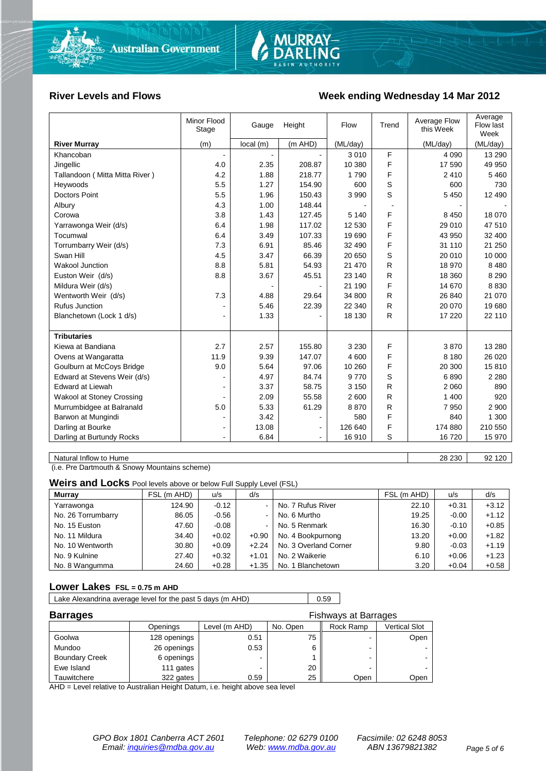

#### **River Levels and Flows Week ending Wednesday 14 Mar 2012**

|                                  | Minor Flood<br>Stage     | Gauge    | Height         | Flow     | Trend        | Average Flow<br>this Week | Average<br>Flow last<br>Week |
|----------------------------------|--------------------------|----------|----------------|----------|--------------|---------------------------|------------------------------|
| <b>River Murray</b>              | (m)                      | local(m) | (m AHD)        | (ML/day) |              | (ML/day)                  | (ML/day)                     |
| Khancoban                        | $\blacksquare$           |          |                | 3 0 1 0  | F            | 4 0 9 0                   | 13 290                       |
| Jingellic                        | 4.0                      | 2.35     | 208.87         | 10 380   | F            | 17 590                    | 49 950                       |
| Tallandoon (Mitta Mitta River)   | 4.2                      | 1.88     | 218.77         | 1790     | F            | 2410                      | 5 4 6 0                      |
| Heywoods                         | 5.5                      | 1.27     | 154.90         | 600      | S            | 600                       | 730                          |
| <b>Doctors Point</b>             | 5.5                      | 1.96     | 150.43         | 3 9 9 0  | S            | 5 4 5 0                   | 12 490                       |
| Albury                           | 4.3                      | 1.00     | 148.44         |          |              |                           |                              |
| Corowa                           | 3.8                      | 1.43     | 127.45         | 5 1 4 0  | F            | 8 4 5 0                   | 18 070                       |
| Yarrawonga Weir (d/s)            | 6.4                      | 1.98     | 117.02         | 12 530   | F            | 29 010                    | 47 510                       |
| Tocumwal                         | 6.4                      | 3.49     | 107.33         | 19690    | F            | 43 950                    | 32 400                       |
| Torrumbarry Weir (d/s)           | 7.3                      | 6.91     | 85.46          | 32 490   | F            | 31 110                    | 21 250                       |
| Swan Hill                        | 4.5                      | 3.47     | 66.39          | 20 650   | S            | 20 010                    | 10 000                       |
| Wakool Junction                  | 8.8                      | 5.81     | 54.93          | 21 470   | R            | 18 970                    | 8 4 8 0                      |
| Euston Weir (d/s)                | 8.8                      | 3.67     | 45.51          | 23 140   | R            | 18 360                    | 8 2 9 0                      |
| Mildura Weir (d/s)               |                          |          |                | 21 190   | F            | 14 670                    | 8 8 3 0                      |
| Wentworth Weir (d/s)             | 7.3                      | 4.88     | 29.64          | 34 800   | R            | 26 840                    | 21 070                       |
| Rufus Junction                   |                          | 5.46     | 22.39          | 22 340   | R            | 20 070                    | 19680                        |
| Blanchetown (Lock 1 d/s)         | $\blacksquare$           | 1.33     |                | 18 130   | R            | 17 220                    | 22 110                       |
|                                  |                          |          |                |          |              |                           |                              |
| <b>Tributaries</b>               |                          |          |                |          |              |                           |                              |
| Kiewa at Bandiana                | 2.7                      | 2.57     | 155.80         | 3 2 3 0  | F            | 3870                      | 13 280                       |
| Ovens at Wangaratta              | 11.9                     | 9.39     | 147.07         | 4 600    | F            | 8 1 8 0                   | 26 0 20                      |
| Goulburn at McCoys Bridge        | 9.0                      | 5.64     | 97.06          | 10 260   | F            | 20 300                    | 15810                        |
| Edward at Stevens Weir (d/s)     |                          | 4.97     | 84.74          | 9770     | S            | 6890                      | 2 2 8 0                      |
| <b>Edward at Liewah</b>          |                          | 3.37     | 58.75          | 3 1 5 0  | $\mathsf{R}$ | 2 0 6 0                   | 890                          |
| <b>Wakool at Stoney Crossing</b> |                          | 2.09     | 55.58          | 2 600    | R            | 1 400                     | 920                          |
| Murrumbidgee at Balranald        | 5.0                      | 5.33     | 61.29          | 8870     | R            | 7 9 5 0                   | 2 900                        |
| Barwon at Mungindi               | $\overline{\phantom{a}}$ | 3.42     | $\blacksquare$ | 580      | F            | 840                       | 1 300                        |
| Darling at Bourke                | ۰                        | 13.08    |                | 126 640  | F            | 174 880                   | 210 550                      |
| Darling at Burtundy Rocks        | $\blacksquare$           | 6.84     | $\blacksquare$ | 16910    | S            | 16720                     | 15 970                       |

Natural Inflow to Hume 28 230 92 120

(i.e. Pre Dartmouth & Snowy Mountains scheme)

**Weirs and Locks** Pool levels above or below Full Supply Level (FSL)

| <b>Murray</b>      | FSL (m AHD) | u/s     | d/s     |                       | FSL (m AHD) | u/s     | d/s     |
|--------------------|-------------|---------|---------|-----------------------|-------------|---------|---------|
| Yarrawonga         | 124.90      | $-0.12$ |         | No. 7 Rufus River     | 22.10       | $+0.31$ | $+3.12$ |
| No. 26 Torrumbarry | 86.05       | $-0.56$ |         | No. 6 Murtho          | 19.25       | $-0.00$ | $+1.12$ |
| No. 15 Euston      | 47.60       | $-0.08$ |         | No. 5 Renmark         | 16.30       | $-0.10$ | $+0.85$ |
| No. 11 Mildura     | 34.40       | $+0.02$ | $+0.90$ | No. 4 Bookpurnong     | 13.20       | $+0.00$ | $+1.82$ |
| No. 10 Wentworth   | 30.80       | $+0.09$ | $+2.24$ | No. 3 Overland Corner | 9.80        | $-0.03$ | $+1.19$ |
| No. 9 Kulnine      | 27.40       | $+0.32$ | $+1.01$ | No. 2 Waikerie        | 6.10        | $+0.06$ | $+1.23$ |
| No. 8 Wangumma     | 24.60       | $+0.28$ | $+1.35$ | No. 1 Blanchetown     | 3.20        | $+0.04$ | $+0.58$ |

#### **Lower Lakes FSL = 0.75 m AHD**

| Lake Alexandrina average level for the past 5 days (m AHD) | 0.59 |
|------------------------------------------------------------|------|
|                                                            |      |

| <b>Barrages</b>       | <b>Fishways at Barrages</b> |               |          |           |                      |  |  |
|-----------------------|-----------------------------|---------------|----------|-----------|----------------------|--|--|
|                       | Openings                    | Level (m AHD) | No. Open | Rock Ramp | <b>Vertical Slot</b> |  |  |
| Goolwa                | 128 openings                | 0.51          | 75       |           | Open                 |  |  |
| Mundoo                | 26 openings                 | 0.53          | 6        |           |                      |  |  |
| <b>Boundary Creek</b> | 6 openings                  |               |          |           |                      |  |  |
| Ewe Island            | 111 gates                   |               | 20       |           | $\sim$               |  |  |
| Tauwitchere           | 322 gates                   | 0.59          | 25       | Open      | Open                 |  |  |

AHD = Level relative to Australian Height Datum, i.e. height above sea level